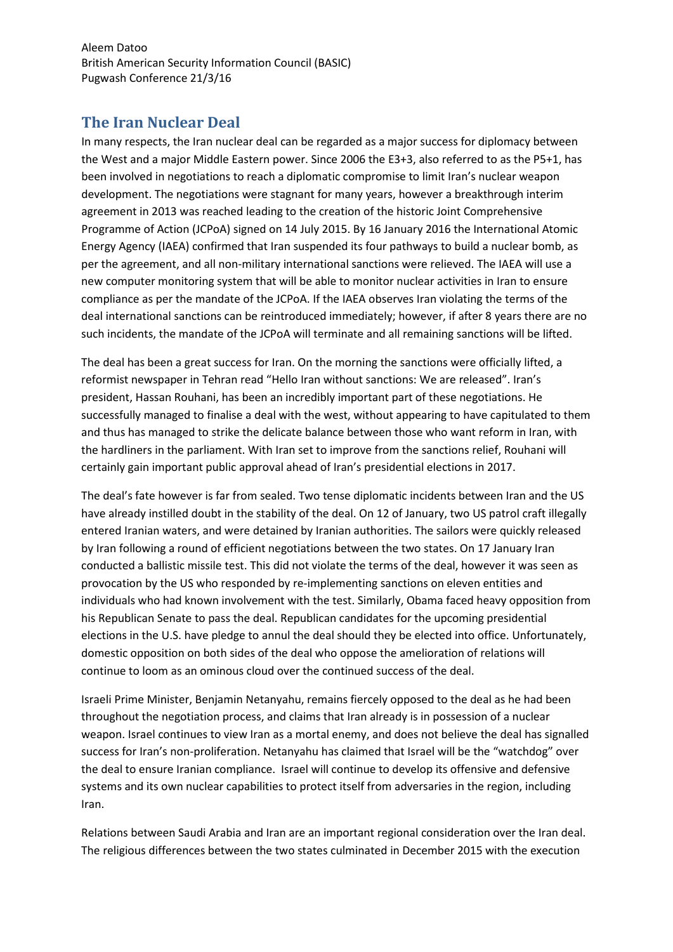Aleem Datoo British American Security Information Council (BASIC) Pugwash Conference 21/3/16

## **The Iran Nuclear Deal**

In many respects, the Iran nuclear deal can be regarded as a major success for diplomacy between the West and a major Middle Eastern power. Since 2006 the E3+3, also referred to as the P5+1, has been involved in negotiations to reach a diplomatic compromise to limit Iran's nuclear weapon development. The negotiations were stagnant for many years, however a breakthrough interim agreement in 2013 was reached leading to the creation of the historic Joint Comprehensive Programme of Action (JCPoA) signed on 14 July 2015. By 16 January 2016 the International Atomic Energy Agency (IAEA) confirmed that Iran suspended its four pathways to build a nuclear bomb, as per the agreement, and all non-military international sanctions were relieved. The IAEA will use a new computer monitoring system that will be able to monitor nuclear activities in Iran to ensure compliance as per the mandate of the JCPoA. If the IAEA observes Iran violating the terms of the deal international sanctions can be reintroduced immediately; however, if after 8 years there are no such incidents, the mandate of the JCPoA will terminate and all remaining sanctions will be lifted.

The deal has been a great success for Iran. On the morning the sanctions were officially lifted, a reformist newspaper in Tehran read "Hello Iran without sanctions: We are released". Iran's president, Hassan Rouhani, has been an incredibly important part of these negotiations. He successfully managed to finalise a deal with the west, without appearing to have capitulated to them and thus has managed to strike the delicate balance between those who want reform in Iran, with the hardliners in the parliament. With Iran set to improve from the sanctions relief, Rouhani will certainly gain important public approval ahead of Iran's presidential elections in 2017.

The deal's fate however is far from sealed. Two tense diplomatic incidents between Iran and the US have already instilled doubt in the stability of the deal. On 12 of January, two US patrol craft illegally entered Iranian waters, and were detained by Iranian authorities. The sailors were quickly released by Iran following a round of efficient negotiations between the two states. On 17 January Iran conducted a ballistic missile test. This did not violate the terms of the deal, however it was seen as provocation by the US who responded by re-implementing sanctions on eleven entities and individuals who had known involvement with the test. Similarly, Obama faced heavy opposition from his Republican Senate to pass the deal. Republican candidates for the upcoming presidential elections in the U.S. have pledge to annul the deal should they be elected into office. Unfortunately, domestic opposition on both sides of the deal who oppose the amelioration of relations will continue to loom as an ominous cloud over the continued success of the deal.

Israeli Prime Minister, Benjamin Netanyahu, remains fiercely opposed to the deal as he had been throughout the negotiation process, and claims that Iran already is in possession of a nuclear weapon. Israel continues to view Iran as a mortal enemy, and does not believe the deal has signalled success for Iran's non-proliferation. Netanyahu has claimed that Israel will be the "watchdog" over the deal to ensure Iranian compliance. Israel will continue to develop its offensive and defensive systems and its own nuclear capabilities to protect itself from adversaries in the region, including Iran.

Relations between Saudi Arabia and Iran are an important regional consideration over the Iran deal. The religious differences between the two states culminated in December 2015 with the execution